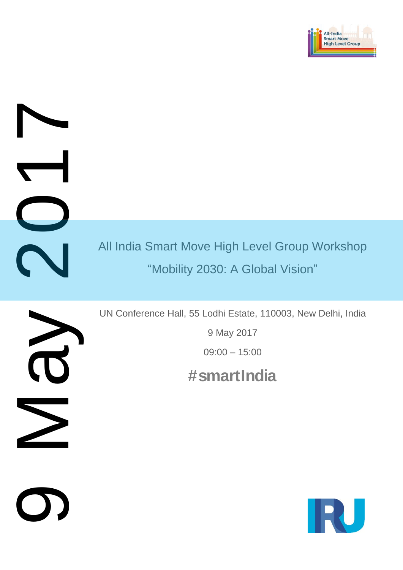

All India Smart Move High Level Group Workshop "Mobility 2030: A Global Vision" 1 May 2010

 $\overline{\mathbf{C}}$ 

O)

UN Conference Hall, 55 Lodhi Estate, 110003, New Delhi, India

9 May 2017

09:00 – 15:00

 **#smartIndia**

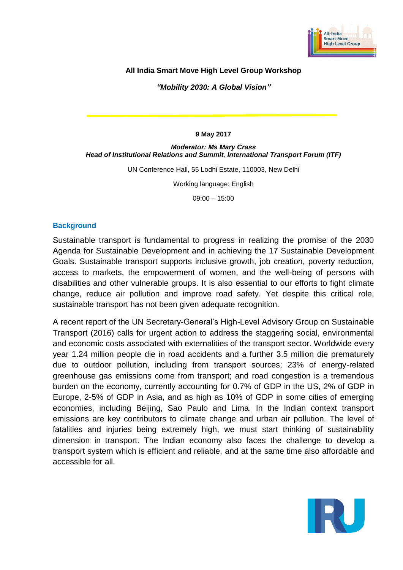

## **All India Smart Move High Level Group Workshop**

*"Mobility 2030: A Global Vision"*

#### **9 May 2017**

#### *Moderator: Ms Mary Crass Head of Institutional Relations and Summit, International Transport Forum (ITF)*

UN Conference Hall, 55 Lodhi Estate, 110003, New Delhi

Working language: English

09:00 – 15:00

### **Background**

Sustainable transport is fundamental to progress in realizing the promise of the 2030 Agenda for Sustainable Development and in achieving the 17 Sustainable Development Goals. Sustainable transport supports inclusive growth, job creation, poverty reduction, access to markets, the empowerment of women, and the well-being of persons with disabilities and other vulnerable groups. It is also essential to our efforts to fight climate change, reduce air pollution and improve road safety. Yet despite this critical role, sustainable transport has not been given adequate recognition.

A recent report of the UN Secretary-General's High-Level Advisory Group on Sustainable Transport (2016) calls for urgent action to address the staggering social, environmental and economic costs associated with externalities of the transport sector. Worldwide every year 1.24 million people die in road accidents and a further 3.5 million die prematurely due to outdoor pollution, including from transport sources; 23% of energy-related greenhouse gas emissions come from transport; and road congestion is a tremendous burden on the economy, currently accounting for 0.7% of GDP in the US, 2% of GDP in Europe, 2-5% of GDP in Asia, and as high as 10% of GDP in some cities of emerging economies, including Beijing, Sao Paulo and Lima. In the Indian context transport emissions are key contributors to climate change and urban air pollution. The level of fatalities and injuries being extremely high, we must start thinking of sustainability dimension in transport. The Indian economy also faces the challenge to develop a transport system which is efficient and reliable, and at the same time also affordable and accessible for all.

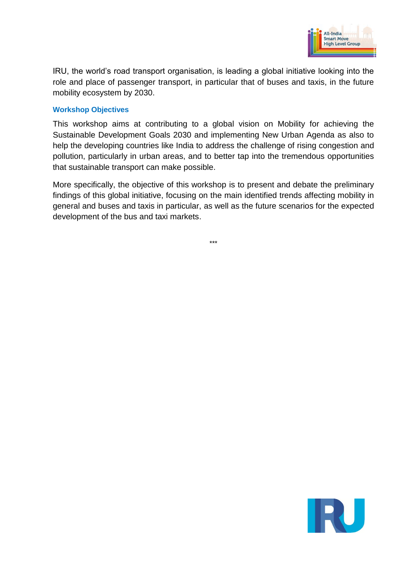

IRU, the world's road transport organisation, is leading a global initiative looking into the role and place of passenger transport, in particular that of buses and taxis, in the future mobility ecosystem by 2030.

### **Workshop Objectives**

This workshop aims at contributing to a global vision on Mobility for achieving the Sustainable Development Goals 2030 and implementing New Urban Agenda as also to help the developing countries like India to address the challenge of rising congestion and pollution, particularly in urban areas, and to better tap into the tremendous opportunities that sustainable transport can make possible.

More specifically, the objective of this workshop is to present and debate the preliminary findings of this global initiative, focusing on the main identified trends affecting mobility in general and buses and taxis in particular, as well as the future scenarios for the expected development of the bus and taxi markets.

\*\*\*

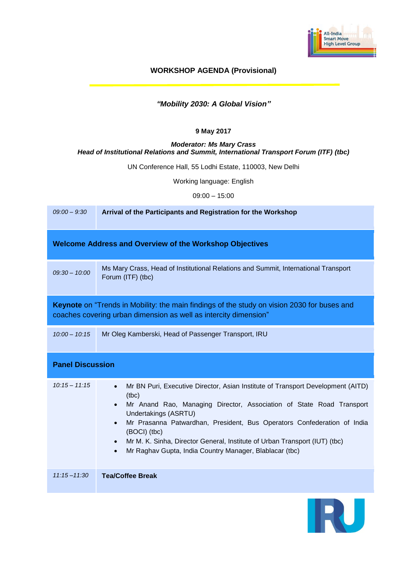

## **WORKSHOP AGENDA (Provisional)**

# *"Mobility 2030: A Global Vision"*

#### **9 May 2017**

#### *Moderator: Ms Mary Crass Head of Institutional Relations and Summit, International Transport Forum (ITF) (tbc)*

UN Conference Hall, 55 Lodhi Estate, 110003, New Delhi

Working language: English

09:00 – 15:00

| $09:00 - 9:30$                                                                                                                                                  | Arrival of the Participants and Registration for the Workshop                                                                                                                                                                                                                                                                                                                                                                                          |  |
|-----------------------------------------------------------------------------------------------------------------------------------------------------------------|--------------------------------------------------------------------------------------------------------------------------------------------------------------------------------------------------------------------------------------------------------------------------------------------------------------------------------------------------------------------------------------------------------------------------------------------------------|--|
| <b>Welcome Address and Overview of the Workshop Objectives</b>                                                                                                  |                                                                                                                                                                                                                                                                                                                                                                                                                                                        |  |
| $09:30 - 10:00$                                                                                                                                                 | Ms Mary Crass, Head of Institutional Relations and Summit, International Transport<br>Forum (ITF) (tbc)                                                                                                                                                                                                                                                                                                                                                |  |
| Keynote on "Trends in Mobility: the main findings of the study on vision 2030 for buses and<br>coaches covering urban dimension as well as intercity dimension" |                                                                                                                                                                                                                                                                                                                                                                                                                                                        |  |
| $10:00 - 10:15$                                                                                                                                                 | Mr Oleg Kamberski, Head of Passenger Transport, IRU                                                                                                                                                                                                                                                                                                                                                                                                    |  |
| <b>Panel Discussion</b>                                                                                                                                         |                                                                                                                                                                                                                                                                                                                                                                                                                                                        |  |
| $10:15 - 11:15$                                                                                                                                                 | Mr BN Puri, Executive Director, Asian Institute of Transport Development (AITD)<br>$\bullet$<br>(tbc)<br>Mr Anand Rao, Managing Director, Association of State Road Transport<br>Undertakings (ASRTU)<br>Mr Prasanna Patwardhan, President, Bus Operators Confederation of India<br>(BOCI) (tbc)<br>Mr M. K. Sinha, Director General, Institute of Urban Transport (IUT) (tbc)<br>$\bullet$<br>Mr Raghav Gupta, India Country Manager, Blablacar (tbc) |  |
| $11:15 - 11:30$                                                                                                                                                 | <b>Tea/Coffee Break</b>                                                                                                                                                                                                                                                                                                                                                                                                                                |  |